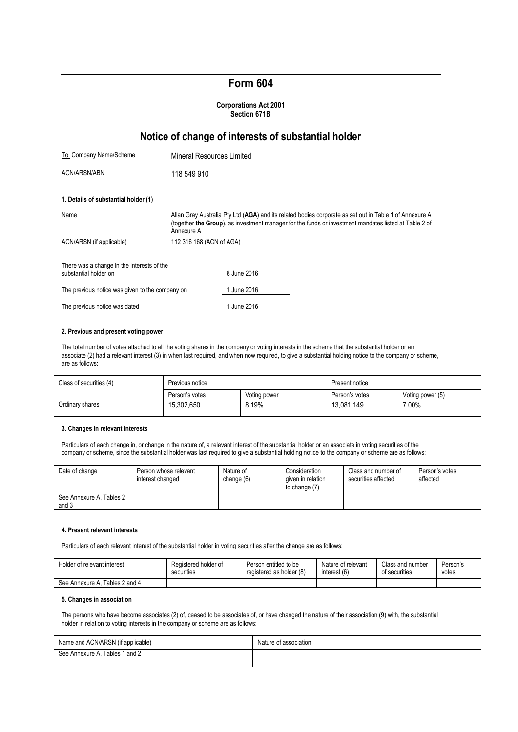# **Form 604**

#### **Corporations Act 2001 Section 671B**

## **Notice of change of interests of substantial holder**

| To Company Name/Scheme                                              | <b>Mineral Resources Limited</b>                                                                                                                                                                                               |             |  |  |
|---------------------------------------------------------------------|--------------------------------------------------------------------------------------------------------------------------------------------------------------------------------------------------------------------------------|-------------|--|--|
| ACN/ARSN/ABN                                                        | 118 549 910                                                                                                                                                                                                                    |             |  |  |
| 1. Details of substantial holder (1)                                |                                                                                                                                                                                                                                |             |  |  |
| Name                                                                | Allan Gray Australia Pty Ltd (AGA) and its related bodies corporate as set out in Table 1 of Annexure A<br>(together the Group), as investment manager for the funds or investment mandates listed at Table 2 of<br>Annexure A |             |  |  |
| ACN/ARSN-(if applicable)                                            | 112 316 168 (ACN of AGA)                                                                                                                                                                                                       |             |  |  |
| There was a change in the interests of the<br>substantial holder on |                                                                                                                                                                                                                                | 8 June 2016 |  |  |
| The previous notice was given to the company on                     |                                                                                                                                                                                                                                | 1 June 2016 |  |  |
| The previous notice was dated                                       |                                                                                                                                                                                                                                | June 2016   |  |  |

#### **2. Previous and present voting power**

The total number of votes attached to all the voting shares in the company or voting interests in the scheme that the substantial holder or an associate (2) had a relevant interest (3) in when last required, and when now required, to give a substantial holding notice to the company or scheme, are as follows:

| Class of securities (4) | Previous notice |              | Present notice |                  |
|-------------------------|-----------------|--------------|----------------|------------------|
|                         | Person's votes  | Voting power | Person's votes | Voting power (5) |
| Ordinary shares         | 15.302.650      | 8.19%        | 13,081,149     | 7.00%            |

#### **3. Changes in relevant interests**

Particulars of each change in, or change in the nature of, a relevant interest of the substantial holder or an associate in voting securities of the company or scheme, since the substantial holder was last required to give a substantial holding notice to the company or scheme are as follows:

| Date of change                    | Person whose relevant<br>interest changed | Nature of<br>change (6) | Consideration<br>given in relation<br>to change (7) | Class and number of<br>securities affected | Person's votes<br>affected |
|-----------------------------------|-------------------------------------------|-------------------------|-----------------------------------------------------|--------------------------------------------|----------------------------|
| See Annexure A, Tables 2<br>and 3 |                                           |                         |                                                     |                                            |                            |

#### **4. Present relevant interests**

Particulars of each relevant interest of the substantial holder in voting securities after the change are as follows:

| Holder of relevant interest       | Registered holder of | Person entitled to be    | Nature of relevant | Class and number | Person's |
|-----------------------------------|----------------------|--------------------------|--------------------|------------------|----------|
|                                   | securities           | registered as holder (8) | interest (6)       | of securities    | votes    |
| Tables 2 and 4<br>See Annexure A. |                      |                          |                    |                  |          |

#### **5. Changes in association**

The persons who have become associates (2) of, ceased to be associates of, or have changed the nature of their association (9) with, the substantial holder in relation to voting interests in the company or scheme are as follows:

| Name and ACN/ARSN (if applicable) | Nature<br>t association |
|-----------------------------------|-------------------------|
| Tables 1 and 2<br>See Annexure A  |                         |
|                                   |                         |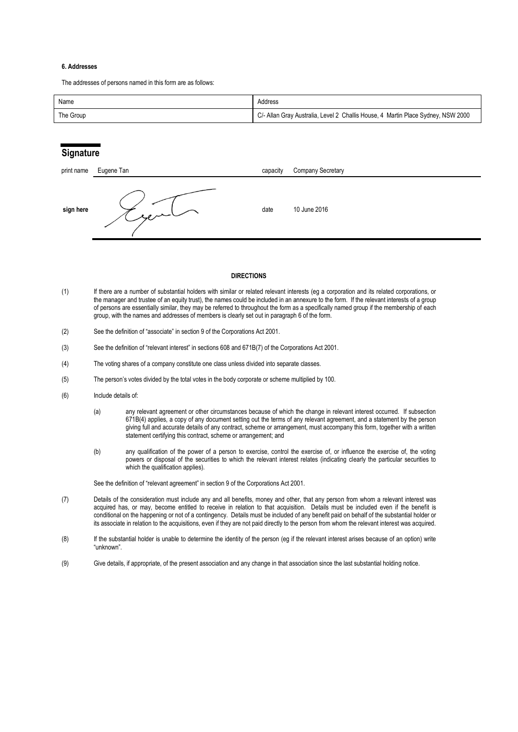#### **6. Addresses**

The addresses of persons named in this form are as follows:

| Name      | Address                                                                          |
|-----------|----------------------------------------------------------------------------------|
| The Group | C/- Allan Gray Australia, Level 2 Challis House, 4 Martin Place Sydney, NSW 2000 |

## **Signature**

| print name | Eugene Tan | capacity | <b>Company Secretary</b> |
|------------|------------|----------|--------------------------|
| sign here  | سيرمع      | date     | 10 June 2016             |

#### **DIRECTIONS**

- (1) If there are a number of substantial holders with similar or related relevant interests (eg a corporation and its related corporations, or the manager and trustee of an equity trust), the names could be included in an annexure to the form. If the relevant interests of a group of persons are essentially similar, they may be referred to throughout the form as a specifically named group if the membership of each group, with the names and addresses of members is clearly set out in paragraph 6 of the form.
- (2) See the definition of "associate" in section 9 of the Corporations Act 2001.
- (3) See the definition of "relevant interest" in sections 608 and 671B(7) of the Corporations Act 2001.
- (4) The voting shares of a company constitute one class unless divided into separate classes.
- (5) The person's votes divided by the total votes in the body corporate or scheme multiplied by 100.
- (6) Include details of:
	- (a) any relevant agreement or other circumstances because of which the change in relevant interest occurred. If subsection 671B(4) applies, a copy of any document setting out the terms of any relevant agreement, and a statement by the person giving full and accurate details of any contract, scheme or arrangement, must accompany this form, together with a written statement certifying this contract, scheme or arrangement; and
	- (b) any qualification of the power of a person to exercise, control the exercise of, or influence the exercise of, the voting powers or disposal of the securities to which the relevant interest relates (indicating clearly the particular securities to which the qualification applies).

See the definition of "relevant agreement" in section 9 of the Corporations Act 2001.

- (7) Details of the consideration must include any and all benefits, money and other, that any person from whom a relevant interest was acquired has, or may, become entitled to receive in relation to that acquisition. Details must be included even if the benefit is conditional on the happening or not of a contingency. Details must be included of any benefit paid on behalf of the substantial holder or its associate in relation to the acquisitions, even if they are not paid directly to the person from whom the relevant interest was acquired.
- (8) If the substantial holder is unable to determine the identity of the person (eg if the relevant interest arises because of an option) write "unknown".
- (9) Give details, if appropriate, of the present association and any change in that association since the last substantial holding notice.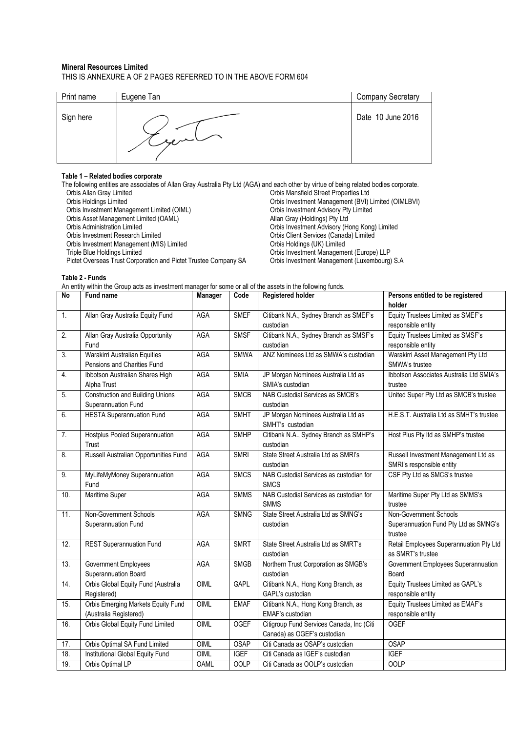#### **Mineral Resources Limited** THIS IS ANNEXURE A OF 2 PAGES REFERRED TO IN THE ABOVE FORM 604

| Print name | Eugene Tan     | Company Secretary |
|------------|----------------|-------------------|
| Sign here  | $\sim$ replace | Date 10 June 2016 |

## **Table 1 – Related bodies corporate**

The following entities are associates of Allan Gray Australia Pty Ltd (AGA) and each other by virtue of being related bodies corporate.<br>Orbis Allan Gray Limited orbis Mansfield Street Properties Ltd Orbis Allan Gray Limited Orbis Mansfield Street Properties Ltd Orbis Investment Management (BVI) Limited (OIMLBVI)<br>Orbis Investment Advisory Pty Limited Orbis Investment Management Limited (OIML) Orbis Investment Advisory Pty<br>
Orbis Asset Management Limited (OAML) Channel County Allan Gray (Holdings) Pty Ltd Orbis Asset Management Limited (OAML)<br>Orbis Administration Limited Orbis Administration Limited<br>
Orbis Investment Advisory (Hong Kong) Limited<br>
Orbis Investment Research Limited<br>
Orbis Client Services (Canada) Limited Orbis Client Services (Canada) Limited<br>Orbis Holdings (UK) Limited Orbis Investment Management (MIS) Limited<br>Triple Blue Holdings Limited Orbis Investment Management (Europe) LLP<br>Orbis Investment Management (Luxembourg) S.A Pictet Overseas Trust Corporation and Pictet Trustee Company SA

**Table 2 - Funds**

An entity within the Group acts as investment manager for some or all of the assets in the following funds.

| <b>No</b> | Fund name                                                    | <b>Manager</b> | Code        | <b>Registered holder</b>                  | Persons entitled to be registered                    |
|-----------|--------------------------------------------------------------|----------------|-------------|-------------------------------------------|------------------------------------------------------|
|           |                                                              |                |             |                                           | holder                                               |
| 1.        | Allan Gray Australia Equity Fund                             | AGA            | <b>SMEF</b> | Citibank N.A., Sydney Branch as SMEF's    | Equity Trustees Limited as SMEF's                    |
|           |                                                              |                |             | custodian                                 | responsible entity                                   |
| 2.        | Allan Gray Australia Opportunity                             | <b>AGA</b>     | <b>SMSF</b> | Citibank N.A., Sydney Branch as SMSF's    | Equity Trustees Limited as SMSF's                    |
|           | Fund                                                         |                |             | custodian                                 | responsible entity                                   |
| 3.        | Warakirri Australian Equities<br>Pensions and Charities Fund | AGA            | <b>SMWA</b> | ANZ Nominees Ltd as SMWA's custodian      | Warakirri Asset Management Pty Ltd<br>SMWA's trustee |
| 4.        | Ibbotson Australian Shares High                              | AGA            | <b>SMIA</b> | JP Morgan Nominees Australia Ltd as       | Ibbotson Associates Australia Ltd SMIA's             |
|           | Alpha Trust                                                  |                |             | SMIA's custodian                          | trustee                                              |
| 5.        | <b>Construction and Building Unions</b>                      | AGA            | <b>SMCB</b> | NAB Custodial Services as SMCB's          | United Super Pty Ltd as SMCB's trustee               |
|           | Superannuation Fund                                          |                |             | custodian                                 |                                                      |
| 6.        | <b>HESTA Superannuation Fund</b>                             | <b>AGA</b>     | <b>SMHT</b> | JP Morgan Nominees Australia Ltd as       | H.E.S.T. Australia Ltd as SMHT's trustee             |
|           |                                                              |                |             | SMHT's custodian                          |                                                      |
| 7.        | <b>Hostplus Pooled Superannuation</b>                        | <b>AGA</b>     | <b>SMHP</b> | Citibank N.A., Sydney Branch as SMHP's    | Host Plus Pty Itd as SMHP's trustee                  |
|           | Trust                                                        |                |             | custodian                                 |                                                      |
| 8.        | Russell Australian Opportunities Fund                        | <b>AGA</b>     | <b>SMRI</b> | State Street Australia Ltd as SMRI's      | Russell Investment Management Ltd as                 |
|           |                                                              |                |             | custodian                                 | SMRI's responsible entity                            |
| 9.        | MyLifeMyMoney Superannuation                                 | <b>AGA</b>     | <b>SMCS</b> | NAB Custodial Services as custodian for   | CSF Pty Ltd as SMCS's trustee                        |
|           | Fund                                                         |                |             | <b>SMCS</b>                               |                                                      |
| 10.       | Maritime Super                                               | <b>AGA</b>     | <b>SMMS</b> | NAB Custodial Services as custodian for   | Maritime Super Pty Ltd as SMMS's                     |
|           |                                                              |                |             | <b>SMMS</b>                               | trustee                                              |
| 11.       | Non-Government Schools                                       | <b>AGA</b>     | <b>SMNG</b> | State Street Australia Ltd as SMNG's      | Non-Government Schools                               |
|           | Superannuation Fund                                          |                |             | custodian                                 | Superannuation Fund Pty Ltd as SMNG's                |
|           |                                                              |                |             |                                           | trustee                                              |
| 12.       | <b>REST Superannuation Fund</b>                              | <b>AGA</b>     | <b>SMRT</b> | State Street Australia Ltd as SMRT's      | Retail Employees Superannuation Pty Ltd              |
|           |                                                              |                |             | custodian                                 | as SMRT's trustee                                    |
| 13.       | Government Employees                                         | <b>AGA</b>     | <b>SMGB</b> | Northern Trust Corporation as SMGB's      | Government Employees Superannuation                  |
|           | Superannuation Board                                         |                |             | custodian                                 | Board                                                |
| 14.       | Orbis Global Equity Fund (Australia                          | OIML           | <b>GAPL</b> | Citibank N.A., Hong Kong Branch, as       | Equity Trustees Limited as GAPL's                    |
|           | Registered)                                                  |                |             | GAPL's custodian                          | responsible entity                                   |
| 15.       | Orbis Emerging Markets Equity Fund                           | OIML           | <b>EMAF</b> | Citibank N.A., Hong Kong Branch, as       | Equity Trustees Limited as EMAF's                    |
|           | (Australia Registered)                                       |                |             | EMAF's custodian                          | responsible entity                                   |
| 16.       | Orbis Global Equity Fund Limited                             | OIML           | <b>OGEF</b> | Citigroup Fund Services Canada, Inc (Citi | <b>OGEF</b>                                          |
|           |                                                              |                |             | Canada) as OGEF's custodian               | <b>OSAP</b>                                          |
| 17.       | Orbis Optimal SA Fund Limited                                | OIML           | <b>OSAP</b> | Citi Canada as OSAP's custodian           |                                                      |
| 18.       | Institutional Global Equity Fund                             | OIML           | <b>IGEF</b> | Citi Canada as IGEF's custodian           | <b>IGEF</b>                                          |
| 19.       | Orbis Optimal LP                                             | <b>OAML</b>    | <b>OOLP</b> | Citi Canada as OOLP's custodian           | <b>OOLP</b>                                          |